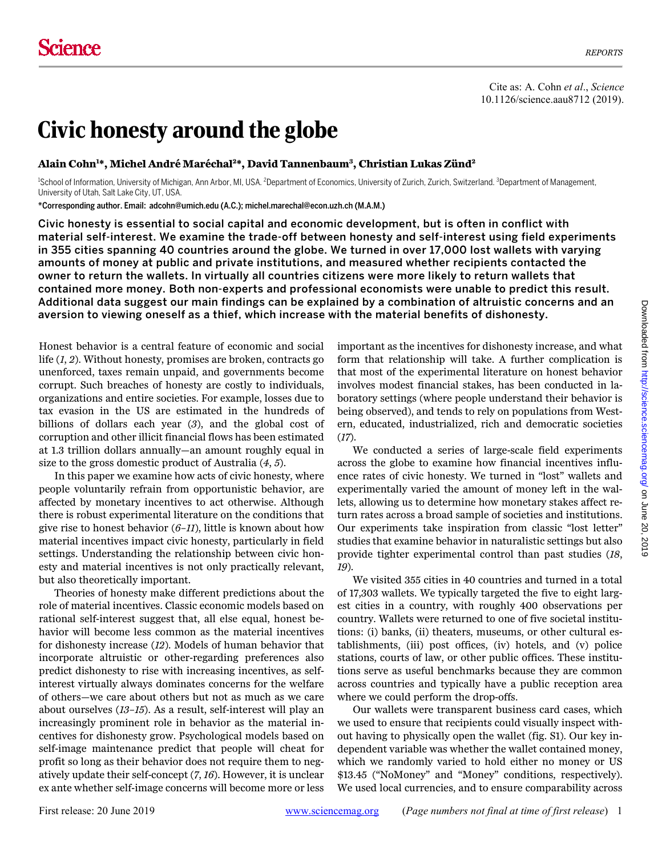# Civic honesty around the globe

### **Alain Cohn1 \*, Michel André Maréchal2\*, David Tannenbaum3, Christian Lukas Zünd2**

<sup>1</sup>School of Information, University of Michigan, Ann Arbor, MI, USA. <sup>2</sup>Department of Economics, University of Zurich, Zurich, Switzerland. <sup>3</sup>Department of Management, University of Utah, Salt Lake City, UT, USA.

\*Corresponding author. Email: adcohn@umich.edu (A.C.); michel.marechal@econ.uzh.ch (M.A.M.)

Civic honesty is essential to social capital and economic development, but is often in conflict with material self-interest. We examine the trade-off between honesty and self-interest using field experiments in 355 cities spanning 40 countries around the globe. We turned in over 17,000 lost wallets with varying amounts of money at public and private institutions, and measured whether recipients contacted the owner to return the wallets. In virtually all countries citizens were more likely to return wallets that contained more money. Both non-experts and professional economists were unable to predict this result. Additional data suggest our main findings can be explained by a combination of altruistic concerns and an aversion to viewing oneself as a thief, which increase with the material benefits of dishonesty.

Honest behavior is a central feature of economic and social life (*1*, *2*). Without honesty, promises are broken, contracts go unenforced, taxes remain unpaid, and governments become corrupt. Such breaches of honesty are costly to individuals, organizations and entire societies. For example, losses due to tax evasion in the US are estimated in the hundreds of billions of dollars each year (*3*), and the global cost of corruption and other illicit financial flows has been estimated at 1.3 trillion dollars annually—an amount roughly equal in size to the gross domestic product of Australia (*4*, *5*).

In this paper we examine how acts of civic honesty, where people voluntarily refrain from opportunistic behavior, are affected by monetary incentives to act otherwise. Although there is robust experimental literature on the conditions that give rise to honest behavior (*6*–*11*), little is known about how material incentives impact civic honesty, particularly in field settings. Understanding the relationship between civic honesty and material incentives is not only practically relevant, but also theoretically important.

Theories of honesty make different predictions about the role of material incentives. Classic economic models based on rational self-interest suggest that, all else equal, honest behavior will become less common as the material incentives for dishonesty increase (*12*). Models of human behavior that incorporate altruistic or other-regarding preferences also predict dishonesty to rise with increasing incentives, as selfinterest virtually always dominates concerns for the welfare of others—we care about others but not as much as we care about ourselves (*13*–*15*). As a result, self-interest will play an increasingly prominent role in behavior as the material incentives for dishonesty grow. Psychological models based on self-image maintenance predict that people will cheat for profit so long as their behavior does not require them to negatively update their self-concept (*7*, *16*). However, it is unclear ex ante whether self-image concerns will become more or less important as the incentives for dishonesty increase, and what form that relationship will take. A further complication is that most of the experimental literature on honest behavior involves modest financial stakes, has been conducted in laboratory settings (where people understand their behavior is being observed), and tends to rely on populations from Western, educated, industrialized, rich and democratic societies (*17*).

We conducted a series of large-scale field experiments across the globe to examine how financial incentives influence rates of civic honesty. We turned in "lost" wallets and experimentally varied the amount of money left in the wallets, allowing us to determine how monetary stakes affect return rates across a broad sample of societies and institutions. Our experiments take inspiration from classic "lost letter" studies that examine behavior in naturalistic settings but also provide tighter experimental control than past studies (*18*, *19*).

We visited 355 cities in 40 countries and turned in a total of 17,303 wallets. We typically targeted the five to eight largest cities in a country, with roughly 400 observations per country. Wallets were returned to one of five societal institutions: (i) banks, (ii) theaters, museums, or other cultural establishments, (iii) post offices, (iv) hotels, and (v) police stations, courts of law, or other public offices. These institutions serve as useful benchmarks because they are common across countries and typically have a public reception area where we could perform the drop-offs.

Our wallets were transparent business card cases, which we used to ensure that recipients could visually inspect without having to physically open the wallet (fig. S1). Our key independent variable was whether the wallet contained money, which we randomly varied to hold either no money or US \$13.45 ("NoMoney" and "Money" conditions, respectively). We used local currencies, and to ensure comparability across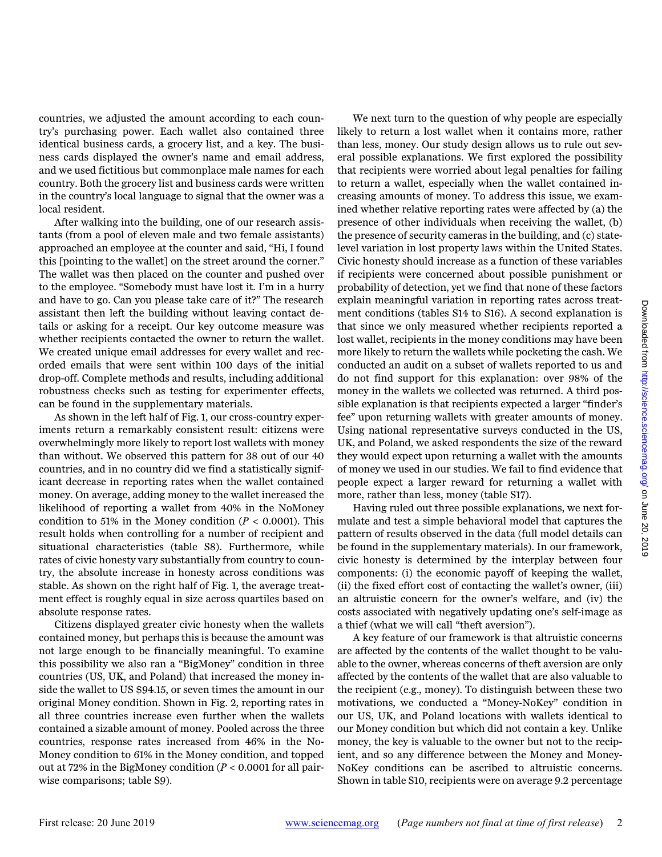countries, we adjusted the amount according to each country's purchasing power. Each wallet also contained three identical business cards, a grocery list, and a key. The business cards displayed the owner's name and email address, and we used fictitious but commonplace male names for each country. Both the grocery list and business cards were written in the country's local language to signal that the owner was a local resident.

After walking into the building, one of our research assistants (from a pool of eleven male and two female assistants) approached an employee at the counter and said, "Hi, I found this [pointing to the wallet] on the street around the corner." The wallet was then placed on the counter and pushed over to the employee. "Somebody must have lost it. I'm in a hurry and have to go. Can you please take care of it?" The research assistant then left the building without leaving contact details or asking for a receipt. Our key outcome measure was whether recipients contacted the owner to return the wallet. We created unique email addresses for every wallet and recorded emails that were sent within 100 days of the initial drop-off. Complete methods and results, including additional robustness checks such as testing for experimenter effects, can be found in the supplementary materials.

As shown in the left half of Fig. 1, our cross-country experiments return a remarkably consistent result: citizens were overwhelmingly more likely to report lost wallets with money than without. We observed this pattern for 38 out of our 40 countries, and in no country did we find a statistically significant decrease in reporting rates when the wallet contained money. On average, adding money to the wallet increased the likelihood of reporting a wallet from 40% in the NoMoney condition to 51% in the Money condition  $(P < 0.0001)$ . This result holds when controlling for a number of recipient and situational characteristics (table S8). Furthermore, while rates of civic honesty vary substantially from country to country, the absolute increase in honesty across conditions was stable. As shown on the right half of Fig. 1, the average treatment effect is roughly equal in size across quartiles based on absolute response rates.

Citizens displayed greater civic honesty when the wallets contained money, but perhaps this is because the amount was not large enough to be financially meaningful. To examine this possibility we also ran a "BigMoney" condition in three countries (US, UK, and Poland) that increased the money inside the wallet to US \$94.15, or seven times the amount in our original Money condition. Shown in Fig. 2, reporting rates in all three countries increase even further when the wallets contained a sizable amount of money. Pooled across the three countries, response rates increased from 46% in the No-Money condition to 61% in the Money condition, and topped out at 72% in the BigMoney condition (*P* < 0.0001 for all pairwise comparisons; table S9).

We next turn to the question of why people are especially likely to return a lost wallet when it contains more, rather than less, money. Our study design allows us to rule out several possible explanations. We first explored the possibility that recipients were worried about legal penalties for failing to return a wallet, especially when the wallet contained increasing amounts of money. To address this issue, we examined whether relative reporting rates were affected by (a) the presence of other individuals when receiving the wallet, (b) the presence of security cameras in the building, and (c) statelevel variation in lost property laws within the United States. Civic honesty should increase as a function of these variables if recipients were concerned about possible punishment or probability of detection, yet we find that none of these factors explain meaningful variation in reporting rates across treatment conditions (tables S14 to S16). A second explanation is that since we only measured whether recipients reported a lost wallet, recipients in the money conditions may have been more likely to return the wallets while pocketing the cash. We conducted an audit on a subset of wallets reported to us and do not find support for this explanation: over 98% of the money in the wallets we collected was returned. A third possible explanation is that recipients expected a larger "finder's fee" upon returning wallets with greater amounts of money. Using national representative surveys conducted in the US, UK, and Poland, we asked respondents the size of the reward they would expect upon returning a wallet with the amounts of money we used in our studies. We fail to find evidence that people expect a larger reward for returning a wallet with more, rather than less, money (table S17).

Having ruled out three possible explanations, we next formulate and test a simple behavioral model that captures the pattern of results observed in the data (full model details can be found in the supplementary materials). In our framework, civic honesty is determined by the interplay between four components: (i) the economic payoff of keeping the wallet, (ii) the fixed effort cost of contacting the wallet's owner, (iii) an altruistic concern for the owner's welfare, and (iv) the costs associated with negatively updating one's self-image as a thief (what we will call "theft aversion").

A key feature of our framework is that altruistic concerns are affected by the contents of the wallet thought to be valuable to the owner, whereas concerns of theft aversion are only affected by the contents of the wallet that are also valuable to the recipient (e.g., money). To distinguish between these two motivations, we conducted a "Money-NoKey" condition in our US, UK, and Poland locations with wallets identical to our Money condition but which did not contain a key. Unlike money, the key is valuable to the owner but not to the recipient, and so any difference between the Money and Money-NoKey conditions can be ascribed to altruistic concerns. Shown in table S10, recipients were on average 9.2 percentage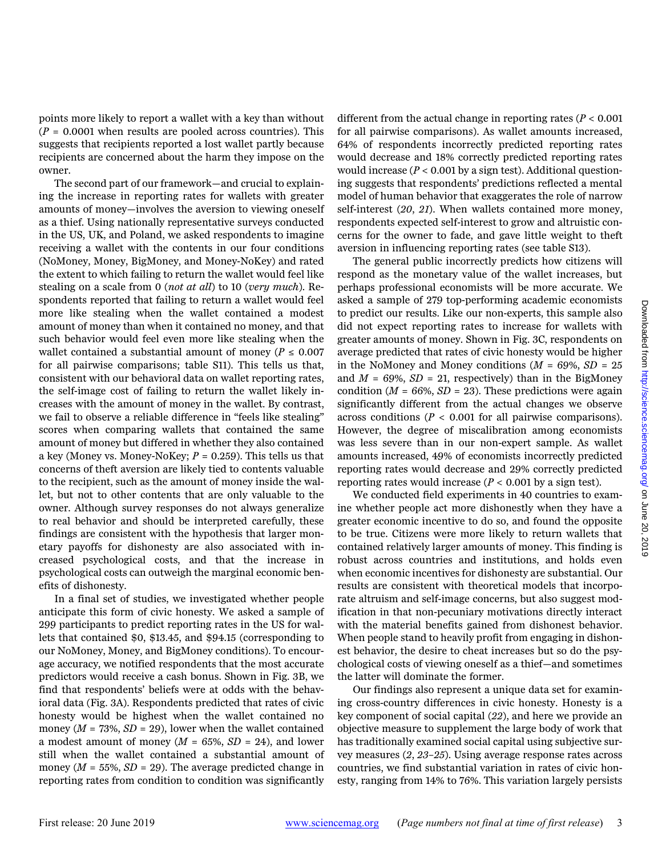2019

points more likely to report a wallet with a key than without  $(P = 0.0001$  when results are pooled across countries). This suggests that recipients reported a lost wallet partly because recipients are concerned about the harm they impose on the owner.

The second part of our framework—and crucial to explaining the increase in reporting rates for wallets with greater amounts of money—involves the aversion to viewing oneself as a thief. Using nationally representative surveys conducted in the US, UK, and Poland, we asked respondents to imagine receiving a wallet with the contents in our four conditions (NoMoney, Money, BigMoney, and Money-NoKey) and rated the extent to which failing to return the wallet would feel like stealing on a scale from 0 (*not at all*) to 10 (*very much*). Respondents reported that failing to return a wallet would feel more like stealing when the wallet contained a modest amount of money than when it contained no money, and that such behavior would feel even more like stealing when the wallet contained a substantial amount of money ( $P \le 0.007$ ) for all pairwise comparisons; table S11). This tells us that, consistent with our behavioral data on wallet reporting rates, the self-image cost of failing to return the wallet likely increases with the amount of money in the wallet. By contrast, we fail to observe a reliable difference in "feels like stealing" scores when comparing wallets that contained the same amount of money but differed in whether they also contained a key (Money vs. Money-NoKey;  $P = 0.259$ ). This tells us that concerns of theft aversion are likely tied to contents valuable to the recipient, such as the amount of money inside the wallet, but not to other contents that are only valuable to the owner. Although survey responses do not always generalize to real behavior and should be interpreted carefully, these findings are consistent with the hypothesis that larger monetary payoffs for dishonesty are also associated with increased psychological costs, and that the increase in psychological costs can outweigh the marginal economic benefits of dishonesty.

In a final set of studies, we investigated whether people anticipate this form of civic honesty. We asked a sample of 299 participants to predict reporting rates in the US for wallets that contained \$0, \$13.45, and \$94.15 (corresponding to our NoMoney, Money, and BigMoney conditions). To encourage accuracy, we notified respondents that the most accurate predictors would receive a cash bonus. Shown in Fig. 3B, we find that respondents' beliefs were at odds with the behavioral data (Fig. 3A). Respondents predicted that rates of civic honesty would be highest when the wallet contained no money ( $M = 73\%$ ,  $SD = 29$ ), lower when the wallet contained a modest amount of money ( $M = 65\%$ ,  $SD = 24$ ), and lower still when the wallet contained a substantial amount of money ( $M = 55\%, SD = 29$ ). The average predicted change in reporting rates from condition to condition was significantly different from the actual change in reporting rates (*P* < 0.001 for all pairwise comparisons). As wallet amounts increased, 64% of respondents incorrectly predicted reporting rates would decrease and 18% correctly predicted reporting rates would increase  $(P < 0.001$  by a sign test). Additional questioning suggests that respondents' predictions reflected a mental model of human behavior that exaggerates the role of narrow self-interest (*20*, *21*). When wallets contained more money, respondents expected self-interest to grow and altruistic concerns for the owner to fade, and gave little weight to theft aversion in influencing reporting rates (see table S13).

The general public incorrectly predicts how citizens will respond as the monetary value of the wallet increases, but perhaps professional economists will be more accurate. We asked a sample of 279 top-performing academic economists to predict our results. Like our non-experts, this sample also did not expect reporting rates to increase for wallets with greater amounts of money. Shown in Fig. 3C, respondents on average predicted that rates of civic honesty would be higher in the NoMoney and Money conditions  $(M = 69\%, SD = 25$ and  $M = 69\%, SD = 21$ , respectively) than in the BigMoney condition ( $M = 66\%$ ,  $SD = 23$ ). These predictions were again significantly different from the actual changes we observe across conditions ( $P < 0.001$  for all pairwise comparisons). However, the degree of miscalibration among economists was less severe than in our non-expert sample. As wallet amounts increased, 49% of economists incorrectly predicted reporting rates would decrease and 29% correctly predicted reporting rates would increase  $(P < 0.001$  by a sign test).

We conducted field experiments in 40 countries to examine whether people act more dishonestly when they have a greater economic incentive to do so, and found the opposite to be true. Citizens were more likely to return wallets that contained relatively larger amounts of money. This finding is robust across countries and institutions, and holds even when economic incentives for dishonesty are substantial. Our results are consistent with theoretical models that incorporate altruism and self-image concerns, but also suggest modification in that non-pecuniary motivations directly interact with the material benefits gained from dishonest behavior. When people stand to heavily profit from engaging in dishonest behavior, the desire to cheat increases but so do the psychological costs of viewing oneself as a thief—and sometimes the latter will dominate the former.

Our findings also represent a unique data set for examining cross-country differences in civic honesty. Honesty is a key component of social capital (*22*), and here we provide an objective measure to supplement the large body of work that has traditionally examined social capital using subjective survey measures (*2*, *23*–*25*). Using average response rates across countries, we find substantial variation in rates of civic honesty, ranging from 14% to 76%. This variation largely persists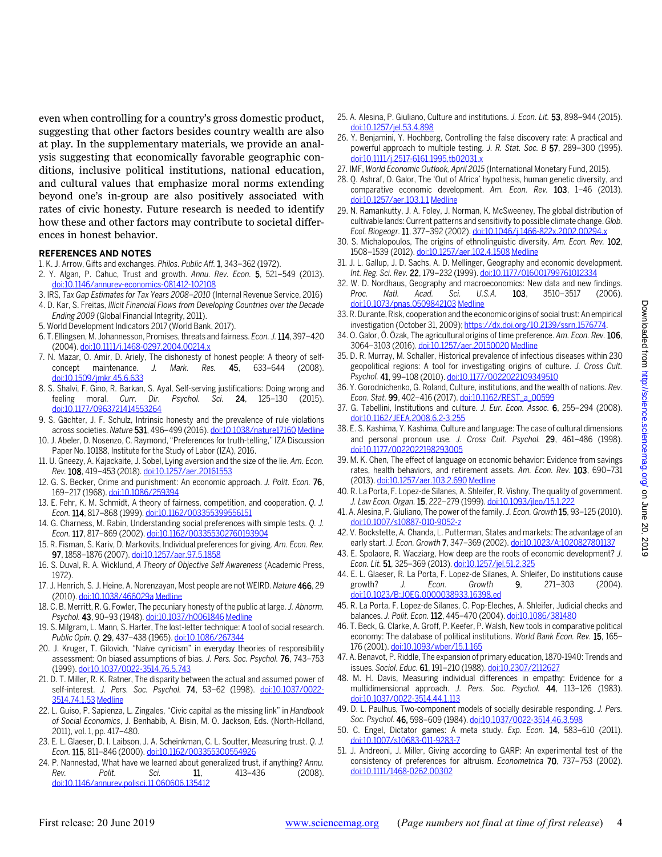even when controlling for a country's gross domestic product, suggesting that other factors besides country wealth are also at play. In the supplementary materials, we provide an analysis suggesting that economically favorable geographic conditions, inclusive political institutions, national education, and cultural values that emphasize moral norms extending beyond one's in-group are also positively associated with rates of civic honesty. Future research is needed to identify how these and other factors may contribute to societal differences in honest behavior.

#### **REFERENCES AND NOTES**

- 1. K. J. Arrow, Gifts and exchanges. *Philos. Public Aff.* 1, 343–362 (1972).
- 2. Y. Algan, P. Cahuc, Trust and growth. *Annu. Rev. Econ.* 5, 521–549 (2013). [doi:10.1146/annurev-economics-081412-102108](http://dx.doi.org/10.1146/annurev-economics-081412-102108)
- 3. IRS, *Tax Gap Estimates for Tax Years 2008–2010* (Internal Revenue Service, 2016)
- 4. D. Kar, S. Freitas, *Illicit Financial Flows from Developing Countries over the Decade Ending 2009* (Global Financial Integrity, 2011).
- 5. World Development Indicators 2017 (World Bank, 2017).
- 6. T. Ellingsen, M. Johannesson, Promises, threats and fairness. *Econ. J.*114, 397–420 (2004)[. doi:10.1111/j.1468-0297.2004.00214.x](http://dx.doi.org/10.1111/j.1468-0297.2004.00214.x)
- 7. N. Mazar, O. Amir, D. Ariely, The dishonesty of honest people: A theory of selfconcept maintenance. *J. Mark. Res.* 45, 633–644 (2008). [doi:10.1509/jmkr.45.6.633](http://dx.doi.org/10.1509/jmkr.45.6.633)
- 8. S. Shalvi, F. Gino, R. Barkan, S. Ayal, Self-serving justifications: Doing wrong and feeling moral. *Curr. Dir. Psychol. Sci.* 24, 125–130 (2015). [doi:10.1177/0963721414553264](http://dx.doi.org/10.1177/0963721414553264)
- 9. S. Gächter, J. F. Schulz, Intrinsic honesty and the prevalence of rule violations across societies. *Nature* 531, 496–499 (2016)[. doi:10.1038/nature17160](http://dx.doi.org/10.1038/nature17160) [Medline](http://www.ncbi.nlm.nih.gov/entrez/query.fcgi?cmd=Retrieve&db=PubMed&list_uids=26958830&dopt=Abstract)
- 10. J. Abeler, D. Nosenzo, C. Raymond,"Preferences for truth-telling," IZA Discussion Paper No. 10188, Institute for the Study of Labor (IZA), 2016.
- 11. U. Gneezy, A. Kajackaite, J. Sobel, Lying aversion and the size of the lie. *Am. Econ. Rev.* 108, 419–453 (2018)[. doi:10.1257/aer.20161553](http://dx.doi.org/10.1257/aer.20161553)
- 12. G. S. Becker, Crime and punishment: An economic approach. *J. Polit. Econ.* 76, 169-217 (1968)[. doi:10.1086/259394](http://dx.doi.org/10.1086/259394)
- 13. E. Fehr, K. M. Schmidt, A theory of fairness, competition, and cooperation. *Q. J. Econ.* 114, 817–868 (1999)[. doi:10.1162/003355399556151](http://dx.doi.org/10.1162/003355399556151)
- 14. G. Charness, M. Rabin, Understanding social preferences with simple tests. *Q. J. Econ.* 117, 817–869 (2002)[. doi:10.1162/003355302760193904](http://dx.doi.org/10.1162/003355302760193904)
- 15. R. Fisman, S. Kariv, D. Markovits, Individual preferences for giving. *Am. Econ. Rev.* 97, 1858–1876 (2007)[. doi:10.1257/aer.97.5.1858](http://dx.doi.org/10.1257/aer.97.5.1858)
- 16. S. Duval, R. A. Wicklund, *A Theory of Objective Self Awareness* (Academic Press, 1972).
- 17. J. Henrich, S. J. Heine, A. Norenzayan, Most people are not WEIRD. *Nature* 466, 29 (2010)[. doi:10.1038/466029a](http://dx.doi.org/10.1038/466029a) [Medline](http://www.ncbi.nlm.nih.gov/entrez/query.fcgi?cmd=Retrieve&db=PubMed&list_uids=20595995&dopt=Abstract)
- 18. C. B. Merritt, R. G. Fowler, The pecuniary honesty of the public at large. *J. Abnorm. Psychol.* 43, 90–93 (1948)[. doi:10.1037/h0061846](http://dx.doi.org/10.1037/h0061846) [Medline](http://www.ncbi.nlm.nih.gov/entrez/query.fcgi?cmd=Retrieve&db=PubMed&list_uids=18911950&dopt=Abstract)
- 19. S. Milgram, L. Mann, S. Harter, The lost-letter technique: A tool of social research. *Public Opin. Q.* 29, 437–438 (1965)[. doi:10.1086/267344](http://dx.doi.org/10.1086/267344)
- 20. J. Kruger, T. Gilovich, "Naive cynicism" in everyday theories of responsibility assessment: On biased assumptions of bias. *J. Pers. Soc. Psychol.* 76, 743–753 (1999)[. doi:10.1037/0022-3514.76.5.743](http://dx.doi.org/10.1037/0022-3514.76.5.743)
- 21. D. T. Miller, R. K. Ratner, The disparity between the actual and assumed power of self-interest. *J. Pers. Soc. Psychol.* 74, 53–62 (1998). [doi:10.1037/0022-](http://dx.doi.org/10.1037/0022-3514.74.1.53) [3514.74.1.53](http://dx.doi.org/10.1037/0022-3514.74.1.53) [Medline](http://www.ncbi.nlm.nih.gov/entrez/query.fcgi?cmd=Retrieve&db=PubMed&list_uids=9457775&dopt=Abstract)
- 22. L. Guiso, P. Sapienza, L. Zingales, "Civic capital as the missing link" in *Handbook of Social Economics*, J. Benhabib, A. Bisin, M. O. Jackson, Eds. (North-Holland, 2011), vol. 1, pp. 417–480.
- 23. E. L. Glaeser, D. I. Laibson, J. A. Scheinkman, C. L. Soutter, Measuring trust. *Q. J. Econ.* 115, 811–846 (2000)[. doi:10.1162/003355300554926](http://dx.doi.org/10.1162/003355300554926)
- 24. P. Nannestad, What have we learned about generalized trust, if anything? *Annu. Rev. Polit. Sci.* 11, 413–436 (2008). [doi:10.1146/annurev.polisci.11.060606.135412](http://dx.doi.org/10.1146/annurev.polisci.11.060606.135412)
- 25. A. Alesina, P. Giuliano, Culture and institutions. *J. Econ. Lit.* 53, 898–944 (2015). [doi:10.1257/jel.53.4.898](http://dx.doi.org/10.1257/jel.53.4.898)
- 26. Y. Benjamini, Y. Hochberg, Controlling the false discovery rate: A practical and powerful approach to multiple testing. *J. R. Stat. Soc. B* 57, 289–300 (1995). [doi:10.1111/j.2517-6161.1995.tb02031.x](http://dx.doi.org/10.1111/j.2517-6161.1995.tb02031.x)
- 27. IMF, *World Economic Outlook, April 2015* (International Monetary Fund, 2015).
- 28. Q. Ashraf, O. Galor, The 'Out of Africa' hypothesis, human genetic diversity, and comparative economic development. *Am. Econ. Rev.* 103, 1–46 (2013). [doi:10.1257/aer.103.1.1](http://dx.doi.org/10.1257/aer.103.1.1) [Medline](http://www.ncbi.nlm.nih.gov/entrez/query.fcgi?cmd=Retrieve&db=PubMed&list_uids=25506083&dopt=Abstract)
- 29. N. Ramankutty, J. A. Foley, J. Norman, K. McSweeney, The global distribution of cultivable lands: Current patterns and sensitivity to possible climate change. *Glob. Ecol. Biogeogr.*11, 377–392 (2002)[. doi:10.1046/j.1466-822x.2002.00294.x](http://dx.doi.org/10.1046/j.1466-822x.2002.00294.x)
- 30. S. Michalopoulos, The origins of ethnolinguistic diversity. *Am. Econ. Rev.* 102, 1508–1539 (2012)[. doi:10.1257/aer.102.4.1508](http://dx.doi.org/10.1257/aer.102.4.1508) [Medline](http://www.ncbi.nlm.nih.gov/entrez/query.fcgi?cmd=Retrieve&db=PubMed&list_uids=25258434&dopt=Abstract)
- 31. J. L. Gallup, J. D. Sachs, A. D. Mellinger, Geography and economic development. *Int. Reg. Sci. Rev.* 22, 179–232 (1999)[. doi:10.1177/016001799761012334](http://dx.doi.org/10.1177/016001799761012334)
- 32. W. D. Nordhaus, Geography and macroeconomics: New data and new findings. *Proc. Natl. Acad. Sci. U.S.A.* 103, 3510–3517 (2006). [doi:10.1073/pnas.0509842103](http://dx.doi.org/10.1073/pnas.0509842103) [Medline](http://www.ncbi.nlm.nih.gov/entrez/query.fcgi?cmd=Retrieve&db=PubMed&list_uids=16473945&dopt=Abstract)
- 33. R. Durante, Risk, cooperation and the economic origins of social trust: An empirical investigation (October 31, 2009); https://dx.doi.org/10.2139/ssrn.1576774.
- 34. O. Galor, Ö. Özak, The agricultural origins of time preference. *Am. Econ. Rev.* 106, 3064–3103 (2016)[. doi:10.1257/aer.20150020](http://dx.doi.org/10.1257/aer.20150020) [Medline](http://www.ncbi.nlm.nih.gov/entrez/query.fcgi?cmd=Retrieve&db=PubMed&list_uids=28781375&dopt=Abstract)
- 35. D. R. Murray, M. Schaller, Historical prevalence of infectious diseases within 230 geopolitical regions: A tool for investigating origins of culture. *J. Cross Cult. Psychol.* 41, 99–108 (2010)[. doi:10.1177/0022022109349510](http://dx.doi.org/10.1177/0022022109349510)
- 36. Y. Gorodnichenko, G. Roland, Culture, institutions, and the wealth of nations. *Rev. Econ. Stat.* 99, 402–416 (2017)[. doi:10.1162/REST\\_a\\_00599](http://dx.doi.org/10.1162/REST_a_00599)
- 37. G. Tabellini, Institutions and culture. *J. Eur. Econ. Assoc.* 6, 255–294 (2008). [doi:10.1162/JEEA.2008.6.2-3.255](http://dx.doi.org/10.1162/JEEA.2008.6.2-3.255)
- 38. E. S. Kashima, Y. Kashima, Culture and language: The case of cultural dimensions and personal pronoun use. *J. Cross Cult. Psychol.* 29, 461–486 (1998). [doi:10.1177/0022022198293005](http://dx.doi.org/10.1177/0022022198293005)
- 39. M. K. Chen, The effect of language on economic behavior: Evidence from savings rates, health behaviors, and retirement assets. *Am. Econ. Rev.* 103, 690–731 (2013)[. doi:10.1257/aer.103.2.690](http://dx.doi.org/10.1257/aer.103.2.690) [Medline](http://www.ncbi.nlm.nih.gov/entrez/query.fcgi?cmd=Retrieve&db=PubMed&list_uids=29524925&dopt=Abstract)
- 40. R. La Porta, F. Lopez-de Silanes, A. Shleifer, R. Vishny, The quality of government. *J. Law Econ. Organ.* 15, 222–279 (1999)[. doi:10.1093/jleo/15.1.222](http://dx.doi.org/10.1093/jleo/15.1.222)
- 41. A. Alesina, P. Giuliano, The power of the family. *J. Econ. Growth* 15, 93–125 (2010). [doi:10.1007/s10887-010-9052-z](http://dx.doi.org/10.1007/s10887-010-9052-z)
- 42. V. Bockstette, A. Chanda, L. Putterman, States and markets: The advantage of an early start. *J. Econ. Growth* 7, 347–369 (2002)[. doi:10.1023/A:1020827801137](http://dx.doi.org/10.1023/A:1020827801137)
- 43. E. Spolaore, R. Wacziarg, How deep are the roots of economic development? *J. Econ. Lit.* 51, 325–369 (2013)[. doi:10.1257/jel.51.2.325](http://dx.doi.org/10.1257/jel.51.2.325)
- 44. E. L. Glaeser, R. La Porta, F. Lopez-de Silanes, A. Shleifer, Do institutions cause growth? *J. Econ. Growth* 9, 271–303 (2004). [doi:10.1023/B:JOEG.0000038933.16398.ed](http://dx.doi.org/10.1023/B:JOEG.0000038933.16398.ed)
- 45. R. La Porta, F. Lopez-de Silanes, C. Pop-Eleches, A. Shleifer, Judicial checks and balances. *J. Polit. Econ.*112, 445–470 (2004)[. doi:10.1086/381480](http://dx.doi.org/10.1086/381480)
- 46. T. Beck, G. Clarke, A. Groff, P. Keefer, P. Walsh, New tools in comparative political economy: The database of political institutions. *World Bank Econ. Rev.* 15, 165– 176 (2001)[. doi:10.1093/wber/15.1.165](http://dx.doi.org/10.1093/wber/15.1.165)
- 47. A. Benavot, P. Riddle, The expansion of primary education, 1870-1940: Trends and issues. *Sociol. Educ.* 61, 191–210 (1988)[. doi:10.2307/2112627](http://dx.doi.org/10.2307/2112627)
- 48. M. H. Davis, Measuring individual differences in empathy: Evidence for a multidimensional approach. *J. Pers. Soc. Psychol.* 44, 113–126 (1983). [doi:10.1037/0022-3514.44.1.113](http://dx.doi.org/10.1037/0022-3514.44.1.113)
- 49. D. L. Paulhus, Two-component models of socially desirable responding. *J. Pers. Soc. Psychol.* 46, 598–609 (1984)[. doi:10.1037/0022-3514.46.3.598](http://dx.doi.org/10.1037/0022-3514.46.3.598)
- 50. C. Engel, Dictator games: A meta study. *Exp. Econ.* 14, 583–610 (2011). [doi:10.1007/s10683-011-9283-7](http://dx.doi.org/10.1007/s10683-011-9283-7)
- 51. J. Andreoni, J. Miller, Giving according to GARP: An experimental test of the consistency of preferences for altruism. *Econometrica* 70, 737–753 (2002). [doi:10.1111/1468-0262.00302](http://dx.doi.org/10.1111/1468-0262.00302)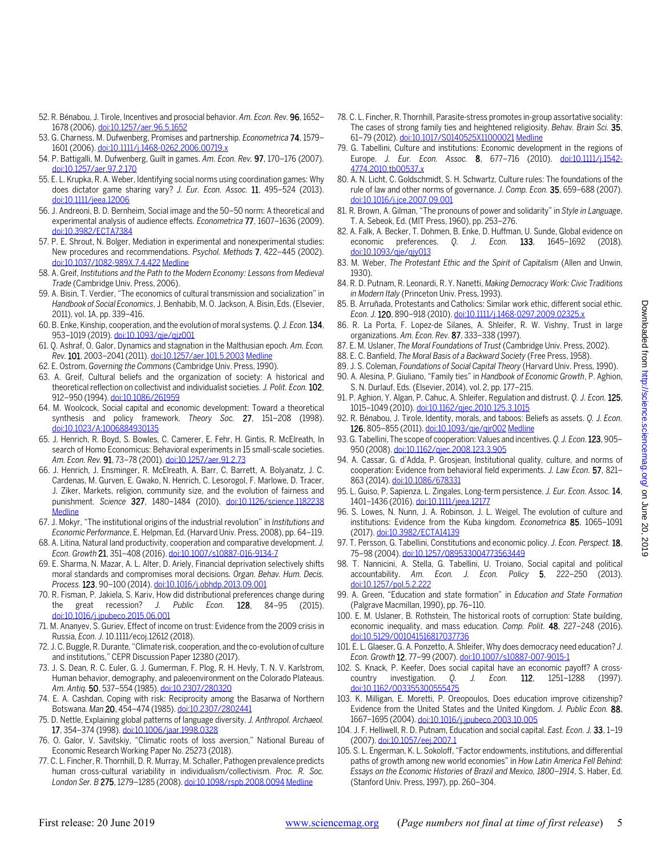- 53. G. Charness, M. Dufwenberg, Promises and partnership. *Econometrica* 74, 1579– 1601 (2006)[. doi:10.1111/j.1468-0262.2006.00719.x](http://dx.doi.org/10.1111/j.1468-0262.2006.00719.x)
- 54. P. Battigalli, M. Dufwenberg, Guilt in games. *Am. Econ. Rev.* 97, 170–176 (2007). [doi:10.1257/aer.97.2.170](http://dx.doi.org/10.1257/aer.97.2.170)
- 55. E. L. Krupka, R. A. Weber, Identifying social norms using coordination games: Why does dictator game sharing vary? *J. Eur. Econ. Assoc.* 11, 495–524 (2013). [doi:10.1111/jeea.12006](http://dx.doi.org/10.1111/jeea.12006)
- 56. J. Andreoni, B. D. Bernheim, Social image and the 50–50 norm: A theoretical and experimental analysis of audience effects. *Econometrica* 77, 1607–1636 (2009). [doi:10.3982/ECTA7384](http://dx.doi.org/10.3982/ECTA7384)
- 57. P. E. Shrout, N. Bolger, Mediation in experimental and nonexperimental studies: New procedures and recommendations. *Psychol. Methods* 7, 422–445 (2002). [doi:10.1037/1082-989X.7.4.422](http://dx.doi.org/10.1037/1082-989X.7.4.422) [Medline](http://www.ncbi.nlm.nih.gov/entrez/query.fcgi?cmd=Retrieve&db=PubMed&list_uids=12530702&dopt=Abstract)
- 58. A. Greif, *Institutions and the Path to the Modern Economy: Lessons from Medieval Trade* (Cambridge Univ. Press, 2006).
- 59. A. Bisin, T. Verdier, "The economics of cultural transmission and socialization" in *Handbook of Social Economics*, J. Benhabib, M. O. Jackson, A. Bisin, Eds. (Elsevier, 2011), vol. 1A, pp. 339–416.
- 60. B. Enke, Kinship, cooperation, and the evolution of moral systems. *Q. J. Econ.*134, 953–1019 (2019)[. doi:10.1093/qje/qjz001](http://dx.doi.org/10.1093/qje/qjz001)
- 61. Q. Ashraf, O. Galor, Dynamics and stagnation in the Malthusian epoch. *Am. Econ. Rev.* 101, 2003–2041 (2011)[. doi:10.1257/aer.101.5.2003](http://dx.doi.org/10.1257/aer.101.5.2003) [Medline](http://www.ncbi.nlm.nih.gov/entrez/query.fcgi?cmd=Retrieve&db=PubMed&list_uids=25506082&dopt=Abstract)
- 62. E. Ostrom, *Governing the Commons* (Cambridge Univ. Press, 1990).
- 63. A. Greif, Cultural beliefs and the organization of society: A historical and theoretical reflection on collectivist and individualist societies. *J. Polit. Econ.* 102, 912–950 (1994)[. doi:10.1086/261959](http://dx.doi.org/10.1086/261959)
- 64. M. Woolcock, Social capital and economic development: Toward a theoretical synthesis and policy framework. *Theory Soc.* 27, 151–208 (1998). [doi:10.1023/A:1006884930135](http://dx.doi.org/10.1023/A:1006884930135)
- 65. J. Henrich, R. Boyd, S. Bowles, C. Camerer, E. Fehr, H. Gintis, R. McElreath, In search of Homo Economicus: Behavioral experiments in 15 small-scale societies. *Am. Econ. Rev.* 91, 73–78 (2001)[. doi:10.1257/aer.91.2.73](http://dx.doi.org/10.1257/aer.91.2.73)
- 66. J. Henrich, J. Ensminger, R. McElreath, A. Barr, C. Barrett, A. Bolyanatz, J. C. Cardenas, M. Gurven, E. Gwako, N. Henrich, C. Lesorogol, F. Marlowe, D. Tracer, J. Ziker, Markets, religion, community size, and the evolution of fairness and punishment. *Science* 327, 1480–1484 (2010). [doi:10.1126/science.1182238](http://dx.doi.org/10.1126/science.1182238) **[Medline](http://www.ncbi.nlm.nih.gov/entrez/query.fcgi?cmd=Retrieve&db=PubMed&list_uids=20299588&dopt=Abstract)**
- 67. J. Mokyr, "The institutional origins of the industrial revolution" in *Institutions and Economic Performance*, E. Helpman, Ed. (Harvard Univ. Press, 2008), pp. 64–119.
- 68. A. Litina, Natural land productivity, cooperation and comparative development. *J. Econ. Growth* 21, 351–408 (2016)[. doi:10.1007/s10887-016-9134-7](http://dx.doi.org/10.1007/s10887-016-9134-7)
- 69. E. Sharma, N. Mazar, A. L. Alter, D. Ariely, Financial deprivation selectively shifts moral standards and compromises moral decisions. *Organ. Behav. Hum. Decis. Process.* 123, 90–100 (2014)[. doi:10.1016/j.obhdp.2013.09.001](http://dx.doi.org/10.1016/j.obhdp.2013.09.001)
- 70. R. Fisman, P. Jakiela, S. Kariv, How did distributional preferences change during the great recession? *J. Public Econ.* 128, 84–95 (2015). [doi:10.1016/j.jpubeco.2015.06.001](http://dx.doi.org/10.1016/j.jpubeco.2015.06.001)
- 71. M. Ananyev, S. Guriev, Effect of income on trust: Evidence from the 2009 crisis in Russia, *Econ. J.* 10.1111/ecoj.12612 (2018).
- 72. J. C. Buggle, R. Durante, "Climate risk, cooperation, and the co-evolution of culture and institutions," CEPR Discussion Paper 12380 (2017).
- 73. J. S. Dean, R. C. Euler, G. J. Gumerman, F. Plog, R. H. Hevly, T. N. V. Karlstrom, Human behavior, demography, and paleoenvironment on the Colorado Plateaus. *Am. Antiq.* 50, 537–554 (1985)[. doi:10.2307/280320](http://dx.doi.org/10.2307/280320)
- 74. E. A. Cashdan, Coping with risk: Reciprocity among the Basarwa of Northern Botswana. *Man* 20, 454–474 (1985)[. doi:10.2307/2802441](http://dx.doi.org/10.2307/2802441)
- 75. D. Nettle, Explaining global patterns of language diversity. *J. Anthropol. Archaeol.* 17, 354–374 (1998)[. doi:10.1006/jaar.1998.0328](http://dx.doi.org/10.1006/jaar.1998.0328)
- 76. O. Galor, V. Savitskiy, "Climatic roots of loss aversion," National Bureau of Economic Research Working Paper No. 25273 (2018).
- 77. C. L. Fincher, R. Thornhill, D. R. Murray, M. Schaller, Pathogen prevalence predicts human cross-cultural variability in individualism/collectivism. *Proc. R. Soc. London Ser. B* 275, 1279–1285 (2008)[. doi:10.1098/rspb.2008.0094](http://dx.doi.org/10.1098/rspb.2008.0094) [Medline](http://www.ncbi.nlm.nih.gov/entrez/query.fcgi?cmd=Retrieve&db=PubMed&list_uids=18302996&dopt=Abstract)
- 78. C. L. Fincher, R. Thornhill, Parasite-stress promotes in-group assortative sociality: The cases of strong family ties and heightened religiosity. *Behav. Brain Sci.* 35, 61–79 (2012)[. doi:10.1017/S0140525X11000021](http://dx.doi.org/10.1017/S0140525X11000021) [Medline](http://www.ncbi.nlm.nih.gov/entrez/query.fcgi?cmd=Retrieve&db=PubMed&list_uids=22289223&dopt=Abstract)
- 79. G. Tabellini, Culture and institutions: Economic development in the regions of Europe. *J. Eur. Econ. Assoc.* 8, 677–716 (2010). [doi:10.1111/j.1542-](http://dx.doi.org/10.1111/j.1542-4774.2010.tb00537.x) [4774.2010.tb00537.x](http://dx.doi.org/10.1111/j.1542-4774.2010.tb00537.x)
- 80. A. N. Licht, C. Goldschmidt, S. H. Schwartz, Culture rules: The foundations of the rule of law and other norms of governance. *J. Comp. Econ.* 35, 659–688 (2007). [doi:10.1016/j.jce.2007.09.001](http://dx.doi.org/10.1016/j.jce.2007.09.001)
- 81. R. Brown, A. Gilman, "The pronouns of power and solidarity" in *Style in Language*, T. A. Sebeok, Ed. (MIT Press, 1960), pp. 253–276.
- 82. A. Falk, A. Becker, T. Dohmen, B. Enke, D. Huffman, U. Sunde, Global evidence on economic preferences. *Q. J. Econ.* 133, 1645–1692 (2018). [doi:10.1093/qje/qjy013](http://dx.doi.org/10.1093/qje/qjy013)
- 83. M. Weber, *The Protestant Ethic and the Spirit of Capitalism* (Allen and Unwin, 1930).
- 84. R. D. Putnam, R. Leonardi, R. Y. Nanetti, *Making Democracy Work: Civic Traditions in Modern Italy* (Princeton Univ. Press, 1993).
- 85. B. Arruñada, Protestants and Catholics: Similar work ethic, different social ethic. *Econ. J.*120, 890–918 (2010)[. doi:10.1111/j.1468-0297.2009.02325.x](http://dx.doi.org/10.1111/j.1468-0297.2009.02325.x)
- 86. R. La Porta, F. Lopez-de Silanes, A. Shleifer, R. W. Vishny, Trust in large organizations. *Am. Econ. Rev.* 87, 333–338 (1997).
- 87. E. M. Uslaner, *The Moral Foundations of Trust* (Cambridge Univ. Press, 2002).
- 88. E. C. Banfield, *The Moral Basis of a Backward Society* (Free Press, 1958).
- 89. J. S. Coleman, *Foundations of Social Capital Theory* (Harvard Univ. Press, 1990).
- 90. A. Alesina, P. Giuliano, "Family ties" in *Handbook of Economic Growth*, P. Aghion, S. N. Durlauf, Eds. (Elsevier, 2014), vol. 2, pp. 177–215.
- 91. P. Aghion, Y. Algan, P. Cahuc, A. Shleifer, Regulation and distrust. *Q. J. Econ.* 125, 1015–1049 (2010)[. doi:10.1162/qjec.2010.125.3.1015](http://dx.doi.org/10.1162/qjec.2010.125.3.1015)
- 92. R. Bénabou, J. Tirole, Identity, morals, and taboos: Beliefs as assets. *Q. J. Econ.* 126, 805–855 (2011)[. doi:10.1093/qje/qjr002](http://dx.doi.org/10.1093/qje/qjr002) [Medline](http://www.ncbi.nlm.nih.gov/entrez/query.fcgi?cmd=Retrieve&db=PubMed&list_uids=22073409&dopt=Abstract)
- 93. G. Tabellini, The scope of cooperation: Values and incentives. *Q. J. Econ.*123, 905– 950 (2008)[. doi:10.1162/qjec.2008.123.3.905](http://dx.doi.org/10.1162/qjec.2008.123.3.905)
- 94. A. Cassar, G. d'Adda, P. Grosjean, Institutional quality, culture, and norms of cooperation: Evidence from behavioral field experiments. *J. Law Econ.* 57, 821– 863 (2014)[. doi:10.1086/678331](http://dx.doi.org/10.1086/678331)
- 95. L. Guiso, P. Sapienza, L. Zingales, Long-term persistence. *J. Eur. Econ. Assoc.* 14, 1401–1436 (2016)[. doi:10.1111/jeea.12177](http://dx.doi.org/10.1111/jeea.12177)
- 96. S. Lowes, N. Nunn, J. A. Robinson, J. L. Weigel, The evolution of culture and institutions: Evidence from the Kuba kingdom. *Econometrica* 85, 1065–1091 (2017)[. doi:10.3982/ECTA14139](http://dx.doi.org/10.3982/ECTA14139)
- 97. T. Persson, G. Tabellini, Constitutions and economic policy. *J. Econ. Perspect.* 18, 75–98 (2004)[. doi:10.1257/089533004773563449](http://dx.doi.org/10.1257/089533004773563449)
- 98. T. Nannicini, A. Stella, G. Tabellini, U. Troiano, Social capital and political accountability. *Am. Econ. J. Econ. Policy* 5, 222–250 (2013). [doi:10.1257/pol.5.2.222](http://dx.doi.org/10.1257/pol.5.2.222)
- 99. A. Green, "Education and state formation" in *Education and State Formation* (Palgrave Macmillan, 1990), pp. 76–110.
- 100. E. M. Uslaner, B. Rothstein, The historical roots of corruption: State building, economic inequality, and mass education. *Comp. Polit.* 48, 227–248 (2016). [doi:10.5129/001041516817037736](http://dx.doi.org/10.5129/001041516817037736)
- 101. E. L. Glaeser, G. A. Ponzetto, A. Shleifer, Why does democracy need education? *J. Econ. Growth* 12, 77–99 (2007)[. doi:10.1007/s10887-007-9015-1](http://dx.doi.org/10.1007/s10887-007-9015-1)
- 102. S. Knack, P. Keefer, Does social capital have an economic payoff? A crosscountry investigation. *Q. J. Econ.* 112, 1251–1288 (1997). [doi:10.1162/003355300555475](http://dx.doi.org/10.1162/003355300555475)
- 103. K. Milligan, E. Moretti, P. Oreopoulos, Does education improve citizenship? Evidence from the United States and the United Kingdom. *J. Public Econ.* 88, 1667–1695 (2004)[. doi:10.1016/j.jpubeco.2003.10.005](http://dx.doi.org/10.1016/j.jpubeco.2003.10.005)
- 104. J. F. Helliwell, R. D. Putnam, Education and social capital. *East. Econ. J.* 33, 1–19 (2007)[. doi:10.1057/eej.2007.1](http://dx.doi.org/10.1057/eej.2007.1)
- 105. S. L. Engerman, K. L. Sokoloff, "Factor endowments, institutions, and differential paths of growth among new world economies" in *How Latin America Fell Behind: Essays on the Economic Histories of Brazil and Mexico, 1800*–*1914*, S. Haber, Ed. (Stanford Univ. Press, 1997), pp. 260–304.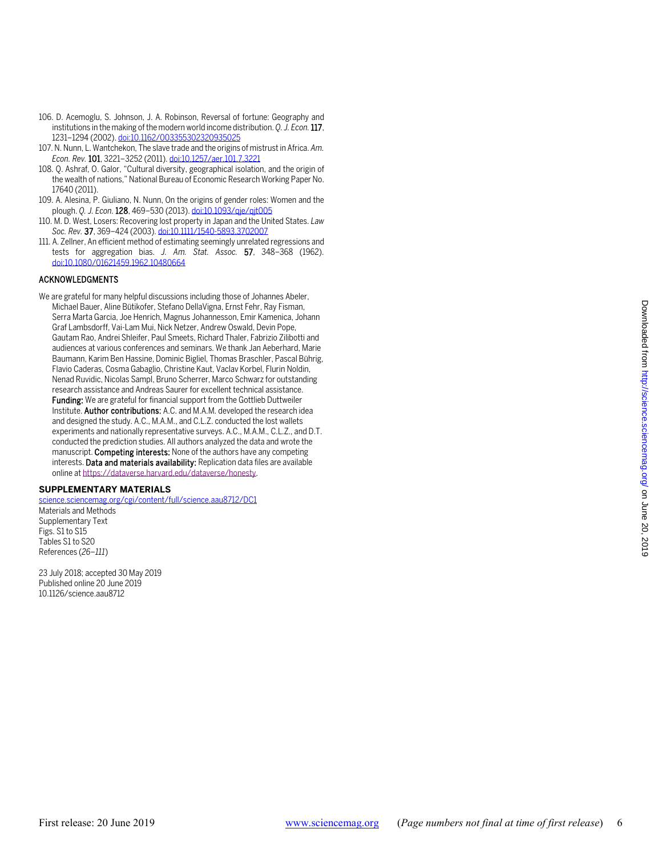- 106. D. Acemoglu, S. Johnson, J. A. Robinson, Reversal of fortune: Geography and institutions in the making of the modern world income distribution. *Q. J. Econ.*117, 1231–1294 (2002)[. doi:10.1162/003355302320935025](http://dx.doi.org/10.1162/003355302320935025)
- 107. N. Nunn, L. Wantchekon, The slave trade and the origins of mistrust in Africa. *Am. Econ. Rev.* 101, 3221–3252 (2011)[. doi:10.1257/aer.101.7.3221](http://dx.doi.org/10.1257/aer.101.7.3221)
- 108. Q. Ashraf, O. Galor, "Cultural diversity, geographical isolation, and the origin of the wealth of nations," National Bureau of Economic Research Working Paper No. 17640 (2011).
- 109. A. Alesina, P. Giuliano, N. Nunn, On the origins of gender roles: Women and the plough. *Q. J. Econ.*128, 469–530 (2013)[. doi:10.1093/qje/qjt005](http://dx.doi.org/10.1093/qje/qjt005)
- 110. M. D. West, Losers: Recovering lost property in Japan and the United States. *Law Soc. Rev.* 37, 369–424 (2003)[. doi:10.1111/1540-5893.3702007](http://dx.doi.org/10.1111/1540-5893.3702007)
- 111. A. Zellner, An efficient method of estimating seemingly unrelated regressions and tests for aggregation bias. *J. Am. Stat. Assoc.* 57, 348–368 (1962). [doi:10.1080/01621459.1962.10480664](http://dx.doi.org/10.1080/01621459.1962.10480664)

#### ACKNOWLEDGMENTS

We are grateful for many helpful discussions including those of Johannes Abeler, Michael Bauer, Aline Bütikofer, Stefano DellaVigna, Ernst Fehr, Ray Fisman, Serra Marta Garcia, Joe Henrich, Magnus Johannesson, Emir Kamenica, Johann Graf Lambsdorff, Vai-Lam Mui, Nick Netzer, Andrew Oswald, Devin Pope, Gautam Rao, Andrei Shleifer, Paul Smeets, Richard Thaler, Fabrizio Zilibotti and audiences at various conferences and seminars. We thank Jan Aeberhard, Marie Baumann, Karim Ben Hassine, Dominic Bigliel, Thomas Braschler, Pascal Bührig, Flavio Caderas, Cosma Gabaglio, Christine Kaut, Vaclav Korbel, Flurin Noldin, Nenad Ruvidic, Nicolas Sampl, Bruno Scherrer, Marco Schwarz for outstanding research assistance and Andreas Saurer for excellent technical assistance. Funding: We are grateful for financial support from the Gottlieb Duttweiler Institute. Author contributions: A.C. and M.A.M. developed the research idea and designed the study. A.C., M.A.M., and C.L.Z. conducted the lost wallets experiments and nationally representative surveys. A.C., M.A.M., C.L.Z., and D.T. conducted the prediction studies. All authors analyzed the data and wrote the manuscript. Competing interests: None of the authors have any competing interests. Data and materials availability: Replication data files are available online a[t https://dataverse.harvard.edu/dataverse/honesty.](https://dataverse.harvard.edu/dataverse/honesty) 

#### **SUPPLEMENTARY MATERIALS**

[science.sciencemag.org/cgi/content/full/science.aau8712/DC1](https://science.sciencemag.org/cgi/content/full/science.aau8712/DC1) Materials and Methods Supplementary Text Figs. S1 to S15 Tables S1 to S20 References (*26–111*)

23 July 2018; accepted 30 May 2019 Published online 20 June 2019 10.1126/science.aau8712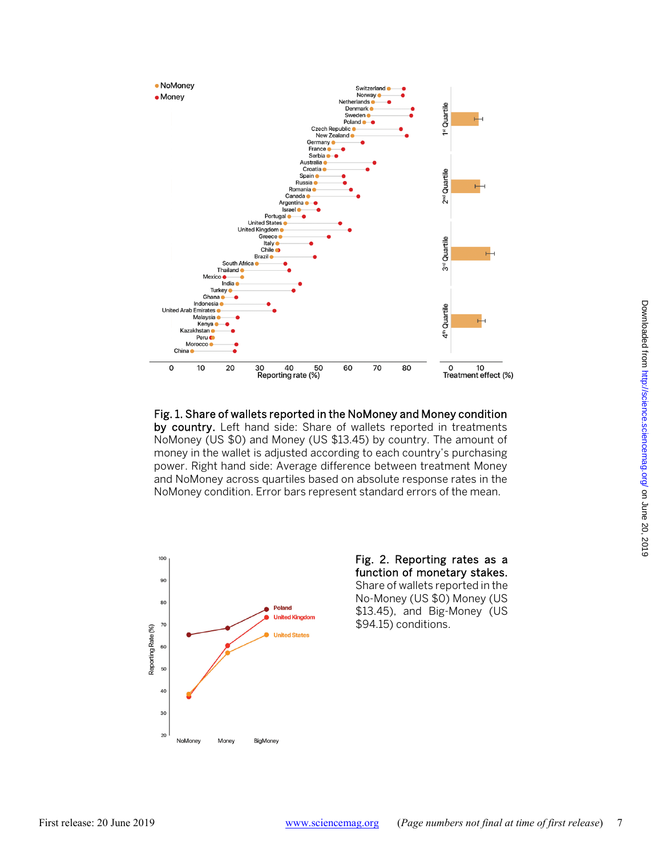

# Fig. 1. Share of wallets reported in the NoMoney and Money condition

by country. Left hand side: Share of wallets reported in treatments NoMoney (US \$0) and Money (US \$13.45) by country. The amount of money in the wallet is adjusted according to each country's purchasing power. Right hand side: Average difference between treatment Money and NoMoney across quartiles based on absolute response rates in the NoMoney condition. Error bars represent standard errors of the mean.



## Fig. 2. Reporting rates as a function of monetary stakes. Share of wallets reported in the No-Money (US \$0) Money (US \$13.45), and Big-Money (US \$94.15) conditions.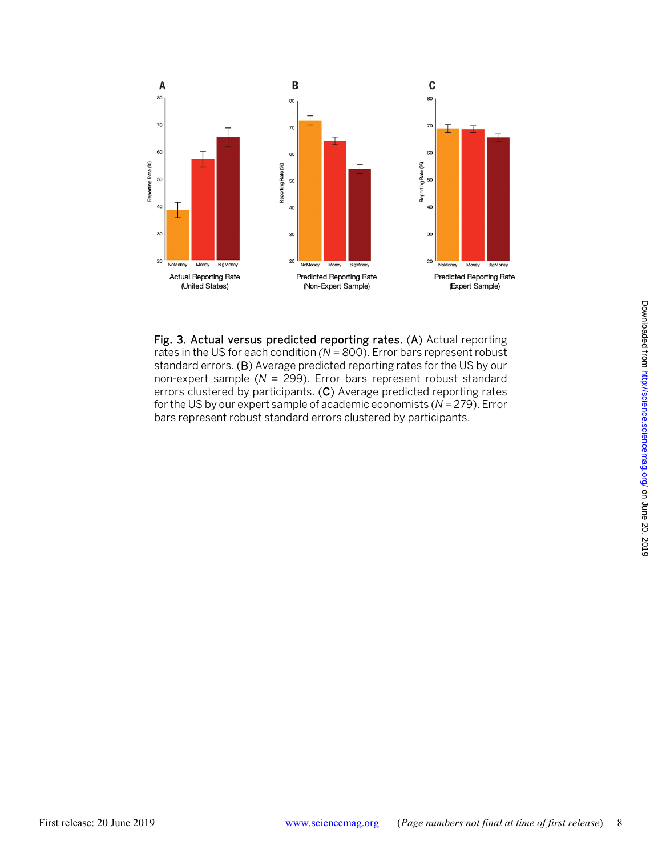

Fig. 3. Actual versus predicted reporting rates. (A) Actual reporting rates in the US for each condition *(N* = 800). Error bars represent robust standard errors. (B) Average predicted reporting rates for the US by our non-expert sample (*N* = 299). Error bars represent robust standard errors clustered by participants. (C) Average predicted reporting rates for the US by our expert sample of academic economists (*N* = 279). Error bars represent robust standard errors clustered by participants.